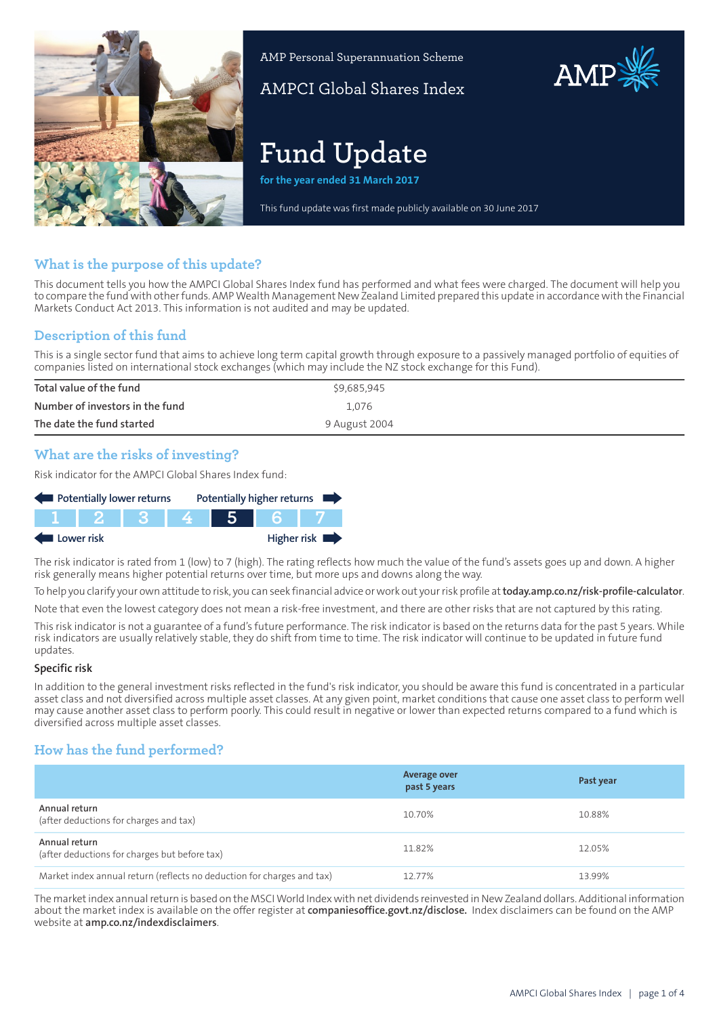

AMP Personal Superannuation Scheme

AMPCI Global Shares Index

# **Fund Update**

**for the year ended 31 March 2017**

This fund update was first made publicly available on 30 June 2017

# **What is the purpose of this update?**

This document tells you how the AMPCI Global Shares Index fund has performed and what fees were charged. The document will help you to compare the fund with other funds. AMP Wealth Management New Zealand Limited prepared this update in accordance with the Financial Markets Conduct Act 2013. This information is not audited and may be updated.

## **Description of this fund**

This is a single sector fund that aims to achieve long term capital growth through exposure to a passively managed portfolio of equities of companies listed on international stock exchanges (which may include the NZ stock exchange for this Fund).

| Total value of the fund         | \$9,685,945   |
|---------------------------------|---------------|
| Number of investors in the fund | 1.076         |
| The date the fund started       | 9 August 2004 |

## **What are the risks of investing?**

Risk indicator for the AMPCI Global Shares Index fund:

| Potentially lower returns |  |                           |  | Potentially higher returns |  |
|---------------------------|--|---------------------------|--|----------------------------|--|
|                           |  | TI NI NI 2. NI NI 3. NI 1 |  |                            |  |
| Higher risk<br>Lower risk |  |                           |  |                            |  |

The risk indicator is rated from 1 (low) to 7 (high). The rating reflects how much the value of the fund's assets goes up and down. A higher risk generally means higher potential returns over time, but more ups and downs along the way.

To help you clarify your own attitude to risk, you can seek financial advice orwork out yourrisk profile at**[today.amp.co.nz/risk-profile-calculator](http://today.amp.co.nz/risk-profile-calculator)**. Note that even the lowest category does not mean a risk-free investment, and there are other risks that are not captured by this rating.

This risk indicator is not a guarantee of a fund's future performance. The risk indicator is based on the returns data for the past 5 years. While risk indicators are usually relatively stable, they do shift from time to time. The risk indicator will continue to be updated in future fund updates.

#### **Specific risk**

In addition to the general investment risks reflected in the fund's risk indicator, you should be aware this fund is concentrated in a particular asset class and not diversified across multiple asset classes. At any given point, market conditions that cause one asset class to perform well may cause another asset class to perform poorly. This could result in negative or lower than expected returns compared to a fund which is diversified across multiple asset classes.

## **How has the fund performed?**

|                                                                        | Average over<br>past 5 years | Past year |
|------------------------------------------------------------------------|------------------------------|-----------|
| Annual return<br>(after deductions for charges and tax)                | 10.70%                       | 10.88%    |
| Annual return<br>(after deductions for charges but before tax)         | 11.82%                       | 12.05%    |
| Market index annual return (reflects no deduction for charges and tax) | 12.77%                       | 13.99%    |

The marketindex annualreturn is based on the MSCIWorld Indexwith net dividends reinvested in NewZealand dollars. Additional information about the market index is available on the offer register at **[companiesoffice.govt.nz/disclose.](http://companiesoffice.govt.nz/disclose)** Index disclaimers can be found on the AMP website at **[amp.co.nz/indexdisclaimers](http://amp.co.nz/indexdisclaimers)**.

AMP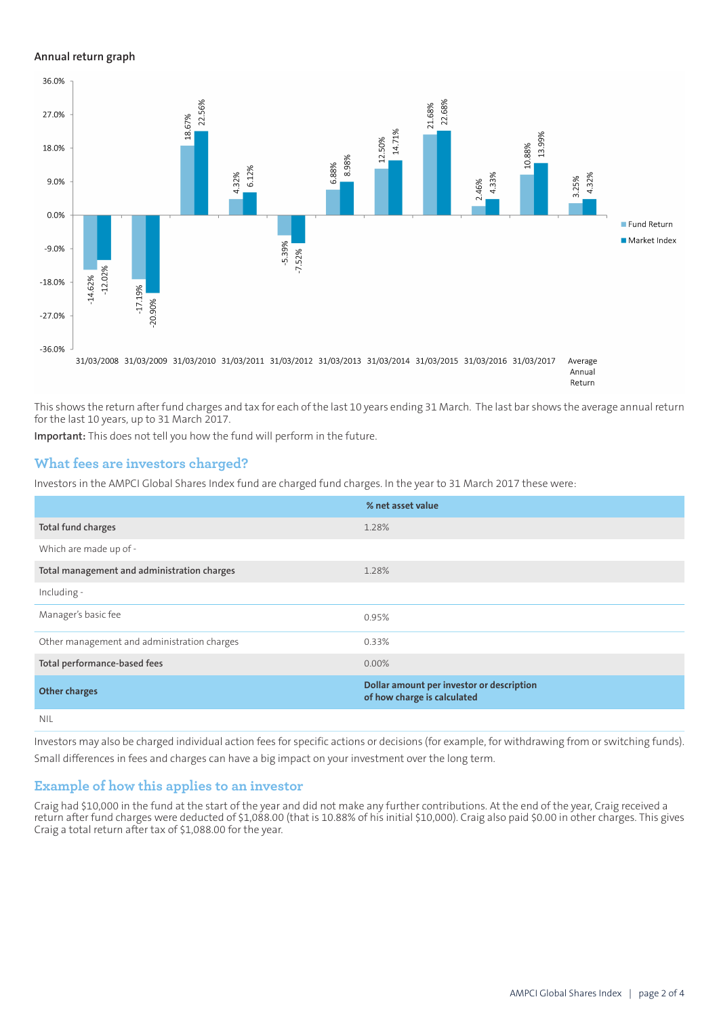#### **Annual return graph**



This shows the return after fund charges and tax for each of the last 10 years ending 31 March. The last bar shows the average annual return for the last 10 years, up to 31 March 2017.

**Important:** This does not tell you how the fund will perform in the future.

## **What fees are investors charged?**

Investors in the AMPCI Global Shares Index fund are charged fund charges. In the year to 31 March 2017 these were:

|                                             | % net asset value                                                        |
|---------------------------------------------|--------------------------------------------------------------------------|
| Total fund charges                          | 1.28%                                                                    |
| Which are made up of -                      |                                                                          |
| Total management and administration charges | 1.28%                                                                    |
| Including -                                 |                                                                          |
| Manager's basic fee                         | 0.95%                                                                    |
| Other management and administration charges | 0.33%                                                                    |
| Total performance-based fees                | $0.00\%$                                                                 |
| <b>Other charges</b>                        | Dollar amount per investor or description<br>of how charge is calculated |
| <b>NIL</b>                                  |                                                                          |

Investors may also be charged individual action fees for specific actions or decisions (for example, for withdrawing from or switching funds). Small differences in fees and charges can have a big impact on your investment over the long term.

#### **Example of how this applies to an investor**

Craig had \$10,000 in the fund at the start of the year and did not make any further contributions. At the end of the year, Craig received a return after fund charges were deducted of \$1,088.00 (that is 10.88% of his initial \$10,000). Craig also paid \$0.00 in other charges. This gives Craig a total return after tax of \$1,088.00 for the year.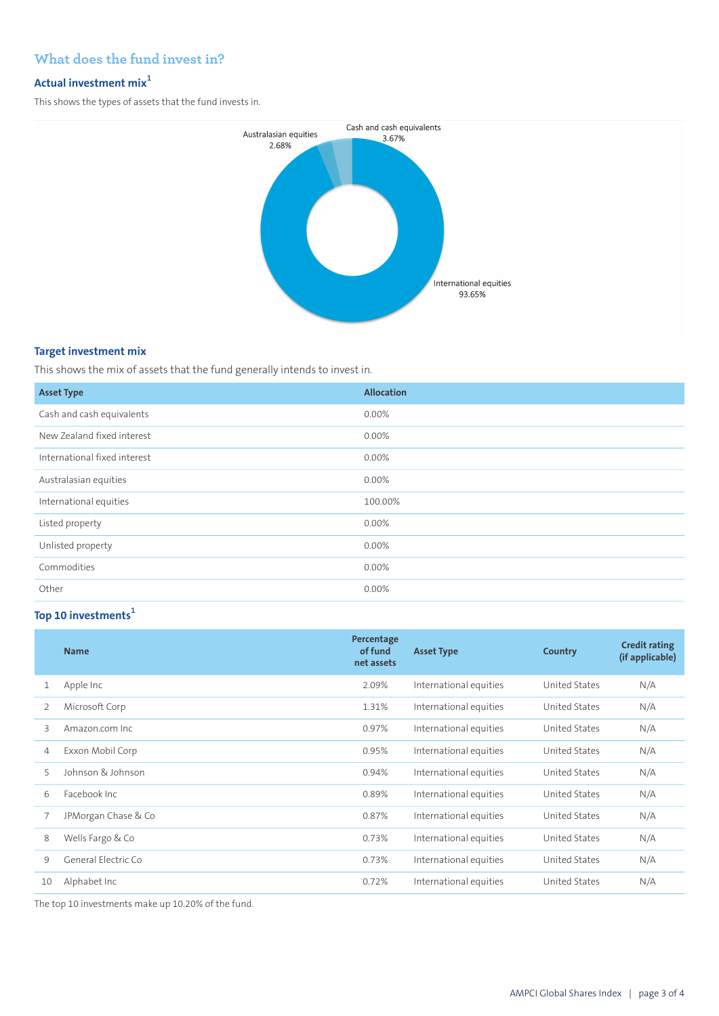# **What does the fund invest in?**

## **Actual investment mix<sup>1</sup>**

This shows the types of assets that the fund invests in.



## **Target investment mix**

This shows the mix of assets that the fund generally intends to invest in.

| <b>Asset Type</b>            | <b>Allocation</b> |
|------------------------------|-------------------|
| Cash and cash equivalents    | $0.00\%$          |
| New Zealand fixed interest   | 0.00%             |
| International fixed interest | 0.00%             |
| Australasian equities        | 0.00%             |
| International equities       | 100.00%           |
| Listed property              | 0.00%             |
| Unlisted property            | 0.00%             |
| Commodities                  | 0.00%             |
| Other                        | 0.00%             |

## **Top 10 investments<sup>1</sup>**

|    | <b>Name</b>         | Percentage<br>of fund<br>net assets | <b>Asset Type</b>      | Country              | <b>Credit rating</b><br>(if applicable) |
|----|---------------------|-------------------------------------|------------------------|----------------------|-----------------------------------------|
| 1  | Apple Inc           | 2.09%                               | International equities | United States        | N/A                                     |
| 2  | Microsoft Corp      | 1.31%                               | International equities | United States        | N/A                                     |
| 3  | Amazon.com Inc.     | 0.97%                               | International equities | United States        | N/A                                     |
| 4  | Exxon Mobil Corp    | 0.95%                               | International equities | United States        | N/A                                     |
| 5  | Johnson & Johnson   | 0.94%                               | International equities | United States        | N/A                                     |
| 6  | Facebook Inc.       | 0.89%                               | International equities | <b>United States</b> | N/A                                     |
| 7  | JPMorgan Chase & Co | 0.87%                               | International equities | United States        | N/A                                     |
| 8  | Wells Fargo & Co    | 0.73%                               | International equities | United States        | N/A                                     |
| 9  | General Electric Co | 0.73%                               | International equities | United States        | N/A                                     |
| 10 | Alphabet Inc        | 0.72%                               | International equities | United States        | N/A                                     |

The top 10 investments make up 10.20% of the fund.